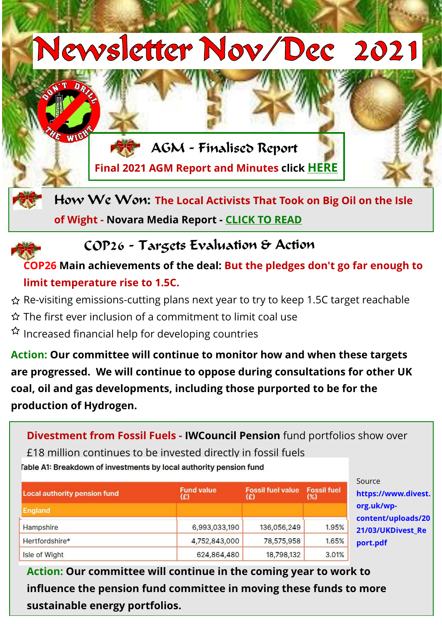

## COP26 - Targets Evaluation & Action

## **COP26 Main achievements of the deal: But the pledges don't go far enough to limit temperature rise to 1.5C.**

- Re-visiting emissions-cutting plans next year to try to keep 1.5C target reachable
- $\hat{\varphi}$  The first ever inclusion of a commitment to limit coal use
- $\Omega$  Increased financial help for developing countries

**Action: Our committee will continue to monitor how and when these targets are progressed. We will continue to oppose during consultations for other UK coal, oil and gas developments, including those purported to be for the production of Hydrogen.**

**Divestment from Fossil Fuels - IWCouncil Pension** fund portfolios show over

£18 million continues to be invested directly in fossil fuels Table A1: Breakdown of investments by local authority pension fund

| <b>Local authority pension fund</b> | <b>Fund value</b><br>(£) | <b>Fossil fuel value</b><br>(£) | <b>Fossil fuel</b><br>(%) |
|-------------------------------------|--------------------------|---------------------------------|---------------------------|
| <b>England</b>                      |                          |                                 |                           |
| Hampshire                           | 6,993,033,190            | 136,056,249                     | 1.95%                     |
| Hertfordshire*                      | 4,752,843,000            | 78,575,958                      | 1.65%                     |
| Isle of Wight                       | 624,864,480              | 18,798,132                      | 3.01%                     |

Source **https://www.divest. org.uk/wpcontent/uploads/20 21/03/UKDivest\_Re port.pdf**

**Action: Our committee will continue in the coming year to work to [influence the pension fund committee in moving these funds to more](https://www.divest.org.uk/wp-content/uploads/2021/03/UKDivest_Report.pdf)  sustainable energy portfolios.**